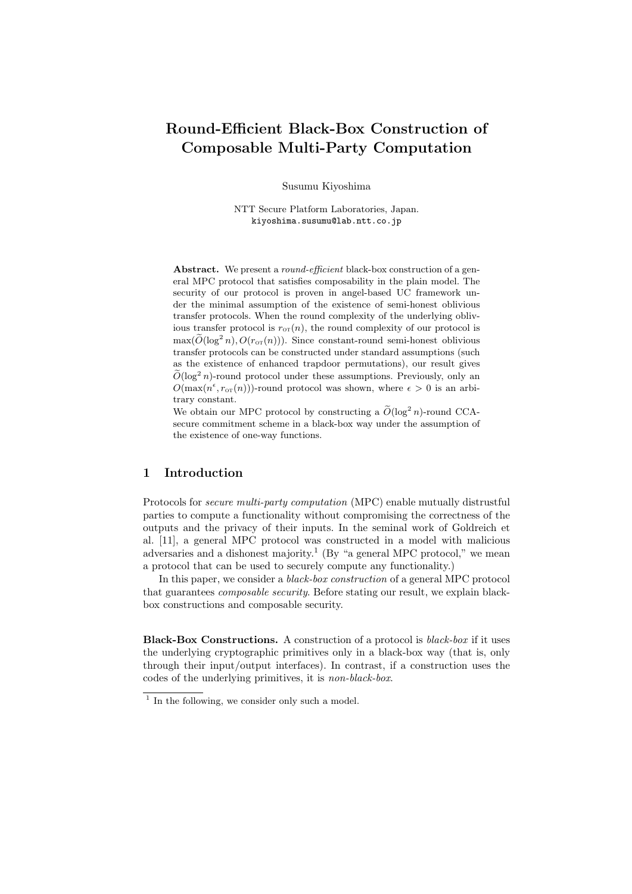# **Round-Efficient Black-Box Construction of Composable Multi-Party Computation**

Susumu Kiyoshima

NTT Secure Platform Laboratories, Japan. kiyoshima.susumu@lab.ntt.co.jp

**Abstract.** We present a *round-efficient* black-box construction of a general MPC protocol that satisfies composability in the plain model. The security of our protocol is proven in angel-based UC framework under the minimal assumption of the existence of semi-honest oblivious transfer protocols. When the round complexity of the underlying oblivious transfer protocol is  $r_{0T}(n)$ , the round complexity of our protocol is  $\max(\widetilde{O}(\log^2 n), O(r_{\text{or}}(n)))$ . Since constant-round semi-honest oblivious transfer protocols can be constructed under standard assumptions (such as the existence of enhanced trapdoor permutations), our result gives  $\tilde{O}(\log^2 n)$ -round protocol under these assumptions. Previously, only an  $O(\max(n^{\epsilon}, r_{\text{OT}}(n)))$ -round protocol was shown, where  $\epsilon > 0$  is an arbitrary constant.

We obtain our MPC protocol by constructing a  $\widetilde{O}(\log^2 n)$ -round CCAsecure commitment scheme in a black-box way under the assumption of the existence of one-way functions.

## **1 Introduction**

Protocols for *secure multi-party computation* (MPC) enable mutually distrustful parties to compute a functionality without compromising the correctness of the outputs and the privacy of their inputs. In the seminal work of Goldreich et al. [11], a general MPC protocol was constructed in a model with malicious adversaries and a dishonest majority.<sup>1</sup> (By "a general MPC protocol," we mean a protocol that can be used to securely compute any functionality.)

In this paper, we consider a *black-box construction* of a general MPC protocol that guarantees *composable security*. Before stating our result, we explain blackbox constructions and composable security.

**Black-Box Constructions.** A construction of a protocol is *black-box* if it uses the underlying cryptographic primitives only in a black-box way (that is, only through their input/output interfaces). In contrast, if a construction uses the codes of the underlying primitives, it is *non-black-box*.

<sup>&</sup>lt;sup>1</sup> In the following, we consider only such a model.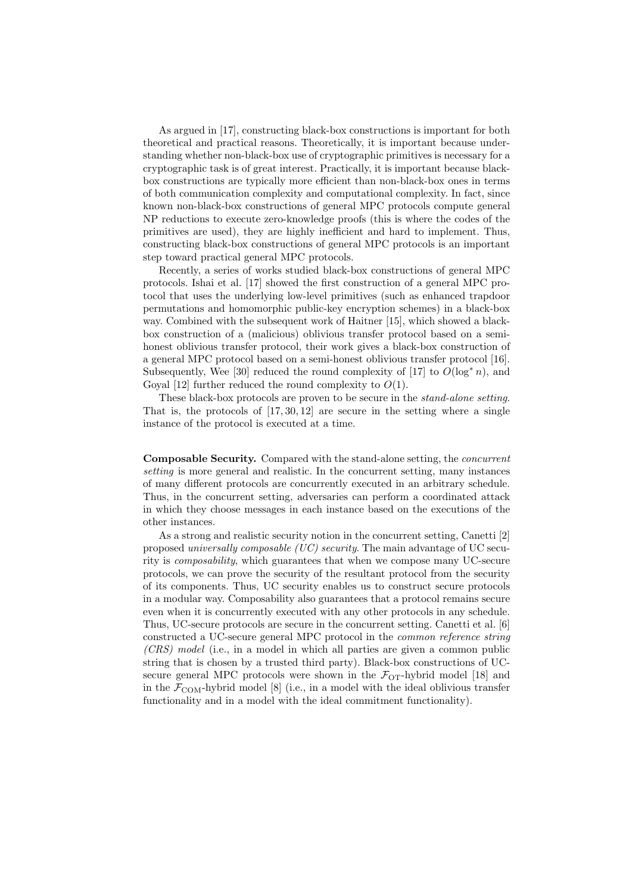As argued in [17], constructing black-box constructions is important for both theoretical and practical reasons. Theoretically, it is important because understanding whether non-black-box use of cryptographic primitives is necessary for a cryptographic task is of great interest. Practically, it is important because blackbox constructions are typically more efficient than non-black-box ones in terms of both communication complexity and computational complexity. In fact, since known non-black-box constructions of general MPC protocols compute general NP reductions to execute zero-knowledge proofs (this is where the codes of the primitives are used), they are highly inefficient and hard to implement. Thus, constructing black-box constructions of general MPC protocols is an important step toward practical general MPC protocols.

Recently, a series of works studied black-box constructions of general MPC protocols. Ishai et al. [17] showed the first construction of a general MPC protocol that uses the underlying low-level primitives (such as enhanced trapdoor permutations and homomorphic public-key encryption schemes) in a black-box way. Combined with the subsequent work of Haitner [15], which showed a blackbox construction of a (malicious) oblivious transfer protocol based on a semihonest oblivious transfer protocol, their work gives a black-box construction of a general MPC protocol based on a semi-honest oblivious transfer protocol [16]. Subsequently, Wee [30] reduced the round complexity of [17] to  $O(\log^* n)$ , and Goyal [12] further reduced the round complexity to  $O(1)$ .

These black-box protocols are proven to be secure in the *stand-alone setting*. That is, the protocols of  $[17, 30, 12]$  are secure in the setting where a single instance of the protocol is executed at a time.

**Composable Security.** Compared with the stand-alone setting, the *concurrent setting* is more general and realistic. In the concurrent setting, many instances of many different protocols are concurrently executed in an arbitrary schedule. Thus, in the concurrent setting, adversaries can perform a coordinated attack in which they choose messages in each instance based on the executions of the other instances.

As a strong and realistic security notion in the concurrent setting, Canetti [2] proposed *universally composable (UC) security*. The main advantage of UC security is *composability*, which guarantees that when we compose many UC-secure protocols, we can prove the security of the resultant protocol from the security of its components. Thus, UC security enables us to construct secure protocols in a modular way. Composability also guarantees that a protocol remains secure even when it is concurrently executed with any other protocols in any schedule. Thus, UC-secure protocols are secure in the concurrent setting. Canetti et al. [6] constructed a UC-secure general MPC protocol in the *common reference string (CRS) model* (i.e., in a model in which all parties are given a common public string that is chosen by a trusted third party). Black-box constructions of UCsecure general MPC protocols were shown in the  $\mathcal{F}_{\text{OT}}$ -hybrid model [18] and in the  $\mathcal{F}_{\text{COM}}$ -hybrid model [8] (i.e., in a model with the ideal oblivious transfer functionality and in a model with the ideal commitment functionality).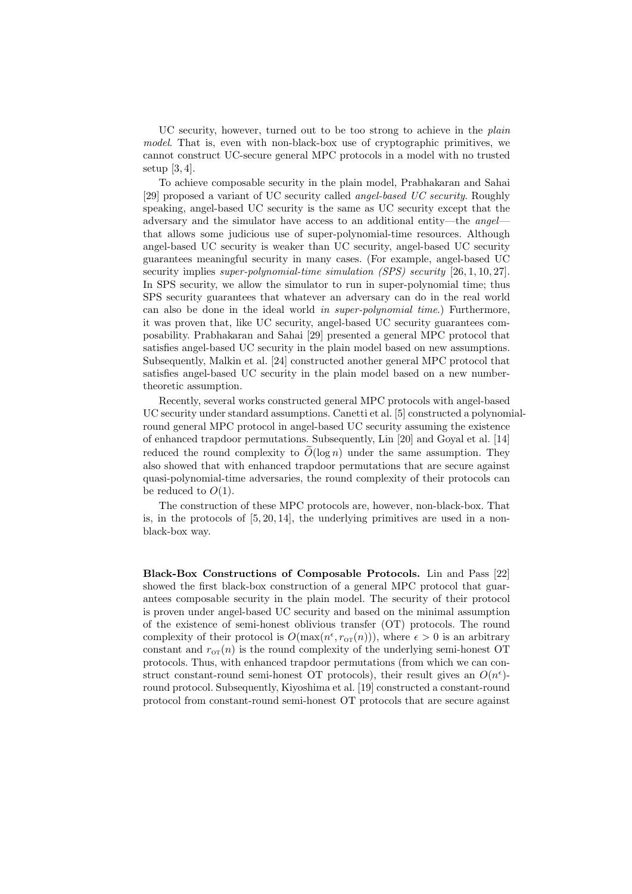UC security, however, turned out to be too strong to achieve in the *plain model*. That is, even with non-black-box use of cryptographic primitives, we cannot construct UC-secure general MPC protocols in a model with no trusted setup  $[3,4]$ .

To achieve composable security in the plain model, Prabhakaran and Sahai [29] proposed a variant of UC security called *angel-based UC security*. Roughly speaking, angel-based UC security is the same as UC security except that the adversary and the simulator have access to an additional entity—the *angel* that allows some judicious use of super-polynomial-time resources. Although angel-based UC security is weaker than UC security, angel-based UC security guarantees meaningful security in many cases. (For example, angel-based UC security implies *super-polynomial-time simulation (SPS) security* [26, 1, 10, 27]. In SPS security, we allow the simulator to run in super-polynomial time; thus SPS security guarantees that whatever an adversary can do in the real world can also be done in the ideal world *in super-polynomial time*.) Furthermore, it was proven that, like UC security, angel-based UC security guarantees composability. Prabhakaran and Sahai [29] presented a general MPC protocol that satisfies angel-based UC security in the plain model based on new assumptions. Subsequently, Malkin et al. [24] constructed another general MPC protocol that satisfies angel-based UC security in the plain model based on a new numbertheoretic assumption.

Recently, several works constructed general MPC protocols with angel-based UC security under standard assumptions. Canetti et al. [5] constructed a polynomialround general MPC protocol in angel-based UC security assuming the existence of enhanced trapdoor permutations. Subsequently, Lin [20] and Goyal et al. [14] reduced the round complexity to  $\tilde{O}(\log n)$  under the same assumption. They also showed that with enhanced trapdoor permutations that are secure against quasi-polynomial-time adversaries, the round complexity of their protocols can be reduced to  $O(1)$ .

The construction of these MPC protocols are, however, non-black-box. That is, in the protocols of  $[5, 20, 14]$ , the underlying primitives are used in a nonblack-box way.

**Black-Box Constructions of Composable Protocols.** Lin and Pass [22] showed the first black-box construction of a general MPC protocol that guarantees composable security in the plain model. The security of their protocol is proven under angel-based UC security and based on the minimal assumption of the existence of semi-honest oblivious transfer (OT) protocols. The round complexity of their protocol is  $O(\max(n^{\epsilon}, r_{\text{OT}}(n)))$ , where  $\epsilon > 0$  is an arbitrary constant and  $r_{\text{OT}}(n)$  is the round complexity of the underlying semi-honest OT protocols. Thus, with enhanced trapdoor permutations (from which we can construct constant-round semi-honest OT protocols), their result gives an  $O(n^{\epsilon})$ round protocol. Subsequently, Kiyoshima et al. [19] constructed a constant-round protocol from constant-round semi-honest OT protocols that are secure against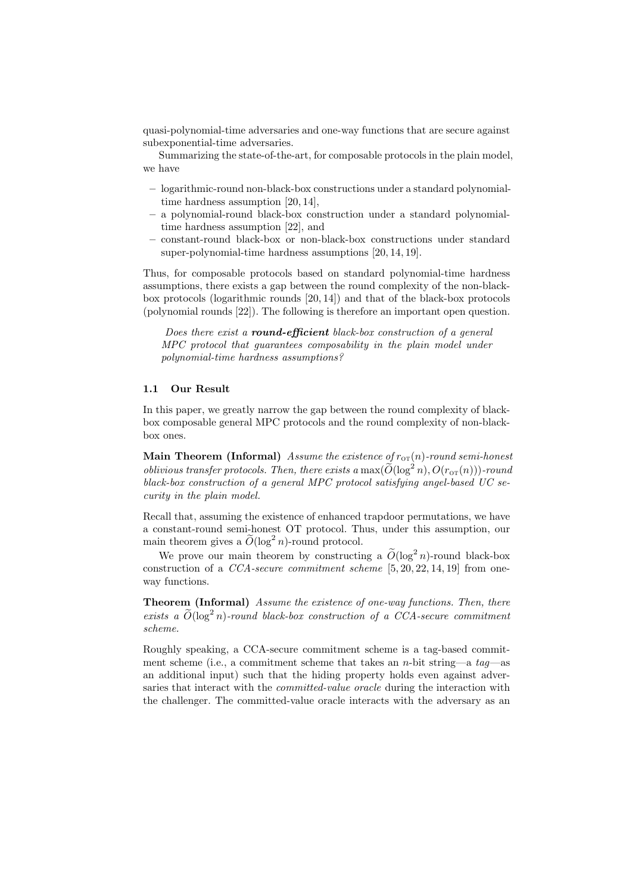quasi-polynomial-time adversaries and one-way functions that are secure against subexponential-time adversaries.

Summarizing the state-of-the-art, for composable protocols in the plain model, we have

- **–** logarithmic-round non-black-box constructions under a standard polynomialtime hardness assumption [20, 14],
- **–** a polynomial-round black-box construction under a standard polynomialtime hardness assumption [22], and
- **–** constant-round black-box or non-black-box constructions under standard super-polynomial-time hardness assumptions [20, 14, 19].

Thus, for composable protocols based on standard polynomial-time hardness assumptions, there exists a gap between the round complexity of the non-blackbox protocols (logarithmic rounds [20, 14]) and that of the black-box protocols (polynomial rounds [22]). The following is therefore an important open question.

*Does there exist a round-efficient black-box construction of a general MPC protocol that guarantees composability in the plain model under polynomial-time hardness assumptions?*

#### **1.1 Our Result**

In this paper, we greatly narrow the gap between the round complexity of blackbox composable general MPC protocols and the round complexity of non-blackbox ones.

**Main Theorem (Informal)** Assume the existence of  $r_{\text{or}}(n)$ -round semi-honest *oblivious transfer protocols. Then, there exists a*  $\max(\widetilde{O}(\log^2 n), O(r_{\text{OT}}(n)))$ *-round black-box construction of a general MPC protocol satisfying angel-based UC security in the plain model.*

Recall that, assuming the existence of enhanced trapdoor permutations, we have a constant-round semi-honest OT protocol. Thus, under this assumption, our main theorem gives a  $\widetilde{O}(\log^2 n)$ -round protocol.

We prove our main theorem by constructing a  $\widetilde{O}(\log^2 n)$ -round black-box construction of a *CCA-secure commitment scheme* [5, 20, 22, 14, 19] from oneway functions.

**Theorem (Informal)** *Assume the existence of one-way functions. Then, there*  $e\t x \text{ is a } \widetilde{O}(\log^2 n)$ -round black-box construction of a CCA-secure commitment *scheme.*

Roughly speaking, a CCA-secure commitment scheme is a tag-based commitment scheme (i.e., a commitment scheme that takes an *n*-bit string—a *tag*—as an additional input) such that the hiding property holds even against adversaries that interact with the *committed-value oracle* during the interaction with the challenger. The committed-value oracle interacts with the adversary as an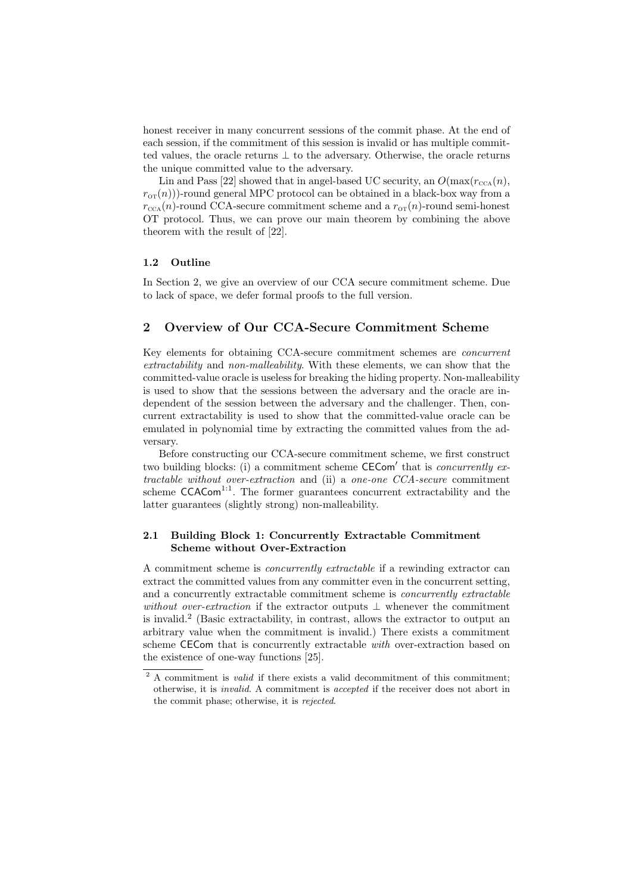honest receiver in many concurrent sessions of the commit phase. At the end of each session, if the commitment of this session is invalid or has multiple committed values, the oracle returns *⊥* to the adversary. Otherwise, the oracle returns the unique committed value to the adversary.

Lin and Pass [22] showed that in angel-based UC security, an  $O(\max(r_{\text{CCA}}(n))$ ,  $r_{\text{or}}(n)$ ))-round general MPC protocol can be obtained in a black-box way from a  $r_{\text{CCA}}(n)$ -round CCA-secure commitment scheme and a  $r_{\text{OT}}(n)$ -round semi-honest OT protocol. Thus, we can prove our main theorem by combining the above theorem with the result of [22].

#### **1.2 Outline**

In Section 2, we give an overview of our CCA secure commitment scheme. Due to lack of space, we defer formal proofs to the full version.

## **2 Overview of Our CCA-Secure Commitment Scheme**

Key elements for obtaining CCA-secure commitment schemes are *concurrent extractability* and *non-malleability*. With these elements, we can show that the committed-value oracle is useless for breaking the hiding property. Non-malleability is used to show that the sessions between the adversary and the oracle are independent of the session between the adversary and the challenger. Then, concurrent extractability is used to show that the committed-value oracle can be emulated in polynomial time by extracting the committed values from the adversary.

Before constructing our CCA-secure commitment scheme, we first construct two building blocks: (i) a commitment scheme **CECom** that is *concurrently extractable without over-extraction* and (ii) a *one-one CCA-secure* commitment scheme  $CCACom<sup>1:1</sup>$ . The former guarantees concurrent extractability and the latter guarantees (slightly strong) non-malleability.

## **2.1 Building Block 1: Concurrently Extractable Commitment Scheme without Over-Extraction**

A commitment scheme is *concurrently extractable* if a rewinding extractor can extract the committed values from any committer even in the concurrent setting, and a concurrently extractable commitment scheme is *concurrently extractable without over-extraction* if the extractor outputs *⊥* whenever the commitment is invalid.<sup>2</sup> (Basic extractability, in contrast, allows the extractor to output an arbitrary value when the commitment is invalid.) There exists a commitment scheme CECom that is concurrently extractable *with* over-extraction based on the existence of one-way functions [25].

<sup>&</sup>lt;sup>2</sup> A commitment is *valid* if there exists a valid decommitment of this commitment; otherwise, it is *invalid*. A commitment is *accepted* if the receiver does not abort in the commit phase; otherwise, it is *rejected*.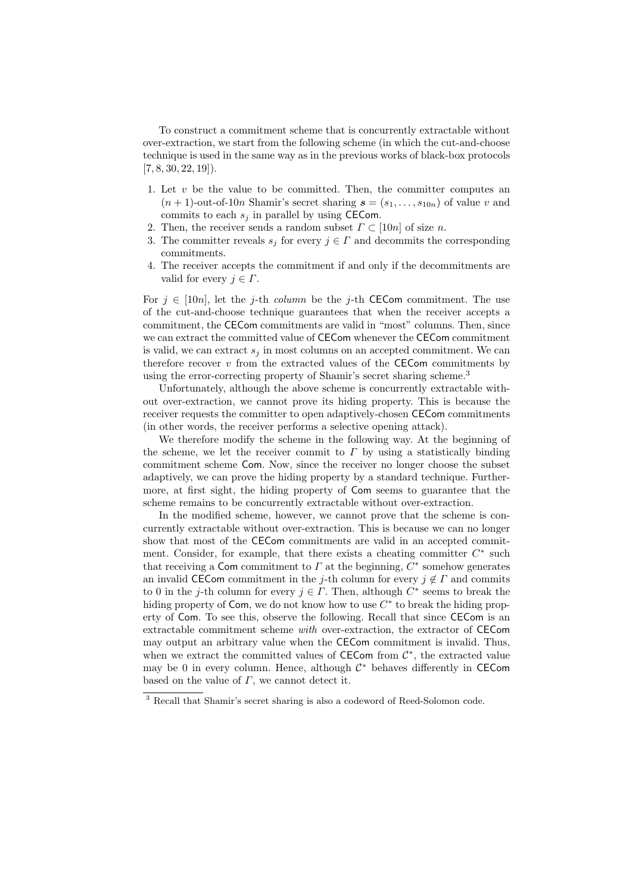To construct a commitment scheme that is concurrently extractable without over-extraction, we start from the following scheme (in which the cut-and-choose technique is used in the same way as in the previous works of black-box protocols  $[7, 8, 30, 22, 19]$ .

- 1. Let  $v$  be the value to be committed. Then, the committer computes an  $(n+1)$ -out-of-10*n* Shamir's secret sharing  $\mathbf{s} = (s_1, \ldots, s_{10n})$  of value *v* and commits to each  $s_j$  in parallel by using CECom.
- 2. Then, the receiver sends a random subset  $\Gamma \subset [10n]$  of size *n*.
- 3. The committer reveals  $s_j$  for every  $j \in \Gamma$  and decommits the corresponding commitments.
- 4. The receiver accepts the commitment if and only if the decommitments are valid for every  $j \in \Gamma$ .

For  $j \in [10n]$ , let the *j*-th *column* be the *j*-th **CECom** commitment. The use of the cut-and-choose technique guarantees that when the receiver accepts a commitment, the CECom commitments are valid in "most" columns. Then, since we can extract the committed value of CECom whenever the CECom commitment is valid, we can extract  $s_j$  in most columns on an accepted commitment. We can therefore recover  $v$  from the extracted values of the  $CECom$  commitments by using the error-correcting property of Shamir's secret sharing scheme.<sup>3</sup>

Unfortunately, although the above scheme is concurrently extractable without over-extraction, we cannot prove its hiding property. This is because the receiver requests the committer to open adaptively-chosen CECom commitments (in other words, the receiver performs a selective opening attack).

We therefore modify the scheme in the following way. At the beginning of the scheme, we let the receiver commit to  $\Gamma$  by using a statistically binding commitment scheme Com. Now, since the receiver no longer choose the subset adaptively, we can prove the hiding property by a standard technique. Furthermore, at first sight, the hiding property of Com seems to guarantee that the scheme remains to be concurrently extractable without over-extraction.

In the modified scheme, however, we cannot prove that the scheme is concurrently extractable without over-extraction. This is because we can no longer show that most of the CECom commitments are valid in an accepted commitment. Consider, for example, that there exists a cheating committer  $C^*$  such that receiving a Com commitment to *Γ* at the beginning, *C ∗* somehow generates an invalid CECom commitment in the *j*-th column for every  $j \notin \Gamma$  and commits to 0 in the *j*-th column for every  $j \in \Gamma$ . Then, although  $C^*$  seems to break the hiding property of Com, we do not know how to use  $C^*$  to break the hiding property of Com. To see this, observe the following. Recall that since CECom is an extractable commitment scheme *with* over-extraction, the extractor of CECom may output an arbitrary value when the CECom commitment is invalid. Thus, when we extract the committed values of CECom from *C ∗* , the extracted value may be 0 in every column. Hence, although *C <sup>∗</sup>* behaves differently in CECom based on the value of *Γ*, we cannot detect it.

<sup>3</sup> Recall that Shamir's secret sharing is also a codeword of Reed-Solomon code.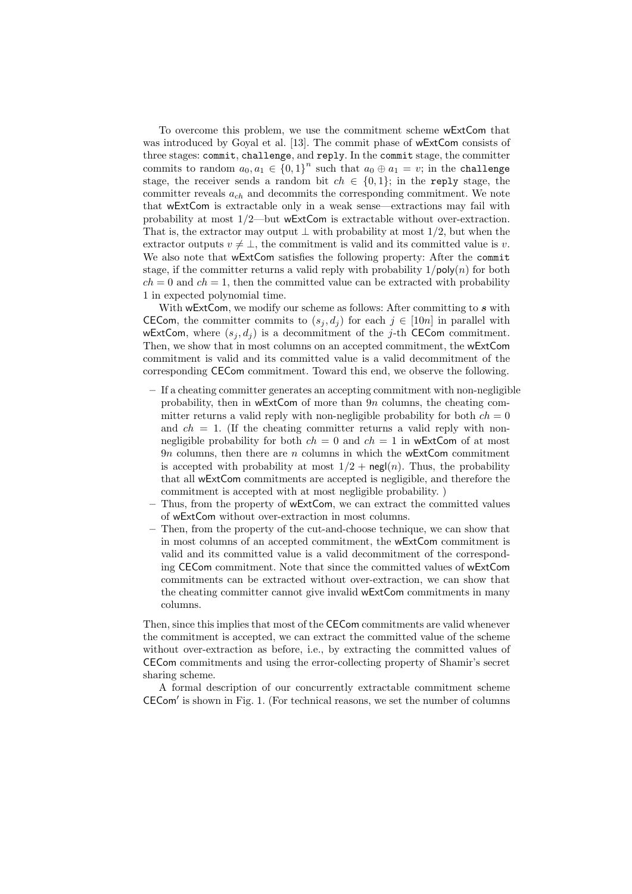To overcome this problem, we use the commitment scheme wExtCom that was introduced by Goyal et al. [13]. The commit phase of wExtCom consists of three stages: commit, challenge, and reply. In the commit stage, the committer commits to random  $a_0, a_1 \in \{0, 1\}^n$  such that  $a_0 \oplus a_1 = v$ ; in the challenge stage, the receiver sends a random bit  $ch \in \{0,1\}$ ; in the reply stage, the committer reveals *ach* and decommits the corresponding commitment. We note that wExtCom is extractable only in a weak sense—extractions may fail with probability at most 1*/*2—but wExtCom is extractable without over-extraction. That is, the extractor may output *⊥* with probability at most 1*/*2, but when the extractor outputs  $v \neq \perp$ , the commitment is valid and its committed value is *v*. We also note that wExtCom satisfies the following property: After the commit stage, if the committer returns a valid reply with probability  $1/poly(n)$  for both  $ch = 0$  and  $ch = 1$ , then the committed value can be extracted with probability 1 in expected polynomial time.

With wExtCom, we modify our scheme as follows: After committing to *s* with CECom, the committer commits to  $(s_i, d_j)$  for each  $j \in [10n]$  in parallel with wExtCom, where  $(s_i, d_j)$  is a decommitment of the *j*-th CECom commitment. Then, we show that in most columns on an accepted commitment, the wExtCom commitment is valid and its committed value is a valid decommitment of the corresponding CECom commitment. Toward this end, we observe the following.

- **–** If a cheating committer generates an accepting commitment with non-negligible probability, then in wExtCom of more than 9*n* columns, the cheating committer returns a valid reply with non-negligible probability for both  $ch = 0$ and  $ch = 1$ . (If the cheating committer returns a valid reply with nonnegligible probability for both  $ch = 0$  and  $ch = 1$  in wExtCom of at most 9*n* columns, then there are *n* columns in which the wExtCom commitment is accepted with probability at most  $1/2$  + negl(*n*). Thus, the probability that all wExtCom commitments are accepted is negligible, and therefore the commitment is accepted with at most negligible probability. )
- **–** Thus, from the property of wExtCom, we can extract the committed values of wExtCom without over-extraction in most columns.
- **–** Then, from the property of the cut-and-choose technique, we can show that in most columns of an accepted commitment, the wExtCom commitment is valid and its committed value is a valid decommitment of the corresponding CECom commitment. Note that since the committed values of wExtCom commitments can be extracted without over-extraction, we can show that the cheating committer cannot give invalid wExtCom commitments in many columns.

Then, since this implies that most of the CECom commitments are valid whenever the commitment is accepted, we can extract the committed value of the scheme without over-extraction as before, i.e., by extracting the committed values of CECom commitments and using the error-collecting property of Shamir's secret sharing scheme.

A formal description of our concurrently extractable commitment scheme CECom*<sup>0</sup>* is shown in Fig. 1. (For technical reasons, we set the number of columns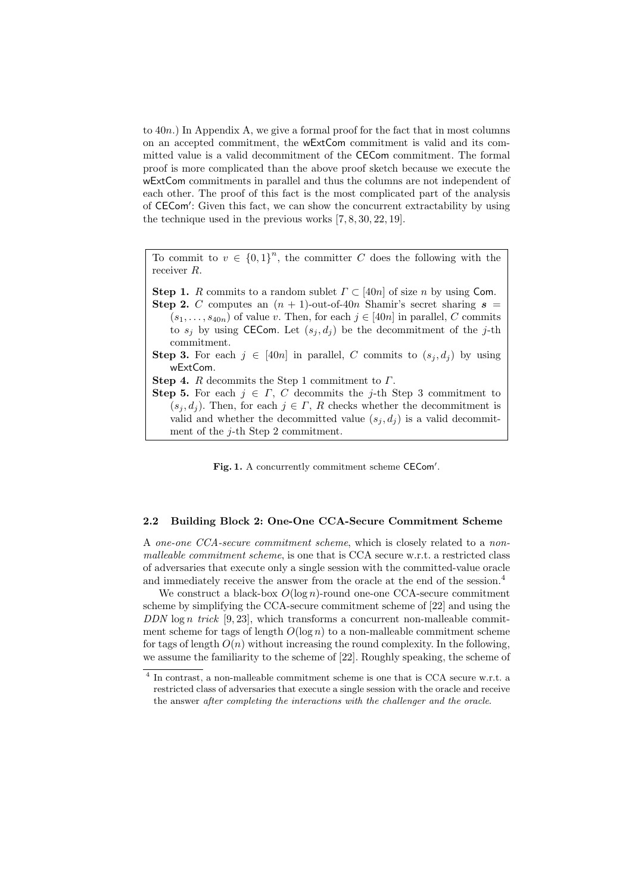to 40*n*.) In Appendix A, we give a formal proof for the fact that in most columns on an accepted commitment, the wExtCom commitment is valid and its committed value is a valid decommitment of the CECom commitment. The formal proof is more complicated than the above proof sketch because we execute the wExtCom commitments in parallel and thus the columns are not independent of each other. The proof of this fact is the most complicated part of the analysis of CECom': Given this fact, we can show the concurrent extractability by using the technique used in the previous works [7, 8, 30, 22, 19].

To commit to  $v \in \{0,1\}^n$ , the committer *C* does the following with the receiver *R*.

**Step 1.** *R* commits to a random sublet  $\Gamma \subset [40n]$  of size *n* by using Com.

**Step 2.** *C* computes an  $(n + 1)$ -out-of-40*n* Shamir's secret sharing  $s =$  $(s_1, \ldots, s_{40n})$  of value *v*. Then, for each  $j \in [40n]$  in parallel, *C* commits to  $s_j$  by using CECom. Let  $(s_j, d_j)$  be the decommitment of the *j*-th commitment.

**Step 3.** For each  $j \in [40n]$  in parallel, *C* commits to  $(s_j, d_j)$  by using wExtCom.

**Step 4.** *R* decommits the Step 1 commitment to *Γ*.

**Step 5.** For each  $j \in \Gamma$ , *C* decommits the *j*-th Step 3 commitment to  $(s_i, d_i)$ . Then, for each  $j \in \Gamma$ , *R* checks whether the decommitment is valid and whether the decommitted value  $(s_j, d_j)$  is a valid decommitment of the *j*-th Step 2 commitment.

Fig. 1. A concurrently commitment scheme CECom'.

#### **2.2 Building Block 2: One-One CCA-Secure Commitment Scheme**

A *one-one CCA-secure commitment scheme*, which is closely related to a *nonmalleable commitment scheme*, is one that is CCA secure w.r.t. a restricted class of adversaries that execute only a single session with the committed-value oracle and immediately receive the answer from the oracle at the end of the session.<sup>4</sup>

We construct a black-box *O*(log *n*)-round one-one CCA-secure commitment scheme by simplifying the CCA-secure commitment scheme of [22] and using the *DDN* log *n trick* [9, 23], which transforms a concurrent non-malleable commitment scheme for tags of length  $O(\log n)$  to a non-malleable commitment scheme for tags of length  $O(n)$  without increasing the round complexity. In the following, we assume the familiarity to the scheme of [22]. Roughly speaking, the scheme of

<sup>&</sup>lt;sup>4</sup> In contrast, a non-malleable commitment scheme is one that is CCA secure w.r.t. a restricted class of adversaries that execute a single session with the oracle and receive the answer *after completing the interactions with the challenger and the oracle*.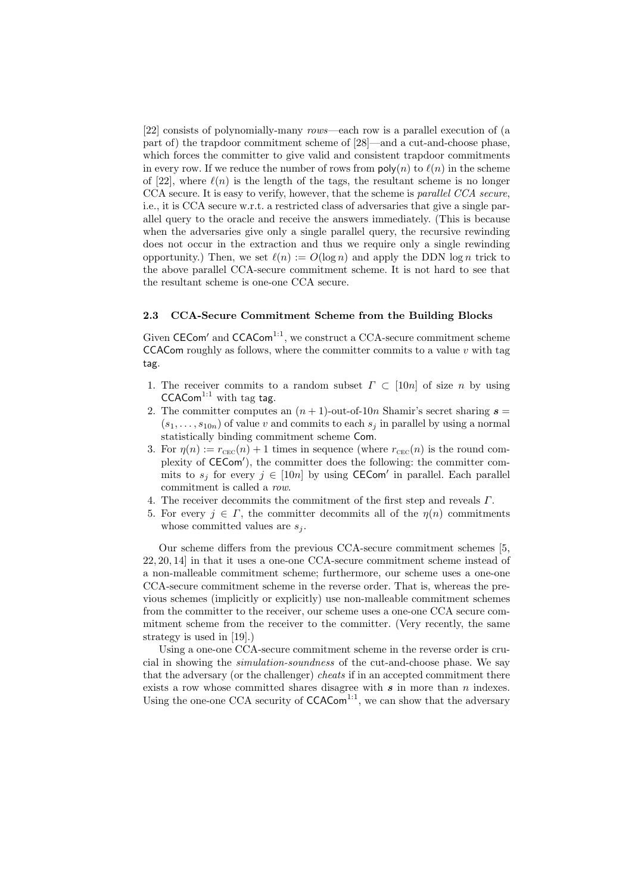[22] consists of polynomially-many *rows*—each row is a parallel execution of (a part of) the trapdoor commitment scheme of [28]—and a cut-and-choose phase, which forces the committer to give valid and consistent trapdoor commitments in every row. If we reduce the number of rows from  $\text{poly}(n)$  to  $\ell(n)$  in the scheme of [22], where  $\ell(n)$  is the length of the tags, the resultant scheme is no longer CCA secure. It is easy to verify, however, that the scheme is *parallel CCA secure*, i.e., it is CCA secure w.r.t. a restricted class of adversaries that give a single parallel query to the oracle and receive the answers immediately. (This is because when the adversaries give only a single parallel query, the recursive rewinding does not occur in the extraction and thus we require only a single rewinding opportunity.) Then, we set  $\ell(n) := O(\log n)$  and apply the DDN  $\log n$  trick to the above parallel CCA-secure commitment scheme. It is not hard to see that the resultant scheme is one-one CCA secure.

#### **2.3 CCA-Secure Commitment Scheme from the Building Blocks**

Given CECom' and CCACom<sup>1:1</sup>, we construct a CCA-secure commitment scheme CCACom roughly as follows, where the committer commits to a value  $v$  with tag tag.

- 1. The receiver commits to a random subset  $\Gamma \subset [10n]$  of size *n* by using  $CCACom<sup>1:1</sup>$  with tag tag.
- 2. The committer computes an  $(n + 1)$ -out-of-10*n* Shamir's secret sharing  $s =$  $(s_1, \ldots, s_{10n})$  of value *v* and commits to each  $s_j$  in parallel by using a normal statistically binding commitment scheme Com.
- 3. For  $\eta(n) := r_{\text{CEC}}(n) + 1$  times in sequence (where  $r_{\text{CEC}}(n)$  is the round complexity of  $CECom'$ ), the committer does the following: the committer commits to  $s_j$  for every  $j \in [10n]$  by using CECom' in parallel. Each parallel commitment is called a *row*.
- 4. The receiver decommits the commitment of the first step and reveals *Γ*.
- 5. For every  $j \in \Gamma$ , the committer decommits all of the  $\eta(n)$  commitments whose committed values are *s<sup>j</sup>* .

Our scheme differs from the previous CCA-secure commitment schemes [5, 22, 20, 14] in that it uses a one-one CCA-secure commitment scheme instead of a non-malleable commitment scheme; furthermore, our scheme uses a one-one CCA-secure commitment scheme in the reverse order. That is, whereas the previous schemes (implicitly or explicitly) use non-malleable commitment schemes from the committer to the receiver, our scheme uses a one-one CCA secure commitment scheme from the receiver to the committer. (Very recently, the same strategy is used in [19].)

Using a one-one CCA-secure commitment scheme in the reverse order is crucial in showing the *simulation-soundness* of the cut-and-choose phase. We say that the adversary (or the challenger) *cheats* if in an accepted commitment there exists a row whose committed shares disagree with *s* in more than *n* indexes. Using the one-one CCA security of  $CCACom<sup>1:1</sup>$ , we can show that the adversary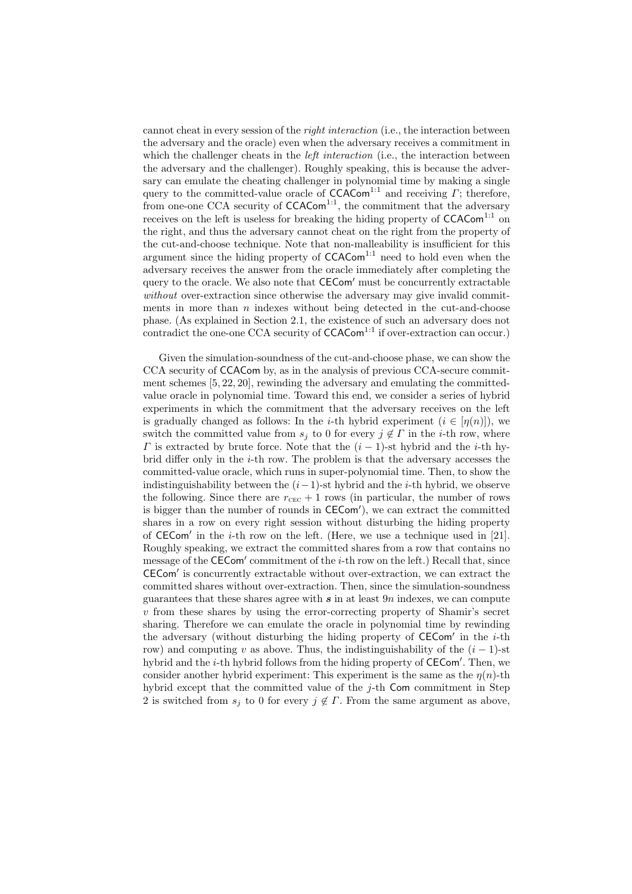cannot cheat in every session of the *right interaction* (i.e., the interaction between the adversary and the oracle) even when the adversary receives a commitment in which the challenger cheats in the *left interaction* (i.e., the interaction between the adversary and the challenger). Roughly speaking, this is because the adversary can emulate the cheating challenger in polynomial time by making a single query to the committed-value oracle of CCACom1:1 and receiving *Γ*; therefore, from one-one CCA security of CCACom<sup>1:1</sup>, the commitment that the adversary receives on the left is useless for breaking the hiding property of  $CCACom<sup>1:1</sup>$  on the right, and thus the adversary cannot cheat on the right from the property of the cut-and-choose technique. Note that non-malleability is insufficient for this argument since the hiding property of  $CCACom<sup>1:1</sup>$  need to hold even when the adversary receives the answer from the oracle immediately after completing the query to the oracle. We also note that CECom*<sup>0</sup>* must be concurrently extractable *without* over-extraction since otherwise the adversary may give invalid commitments in more than *n* indexes without being detected in the cut-and-choose phase. (As explained in Section 2.1, the existence of such an adversary does not  $\frac{1}{\text{contradict the one-one CCA security of CCACom}^{1:1}}$  if over-extraction can occur.)

Given the simulation-soundness of the cut-and-choose phase, we can show the CCA security of CCACom by, as in the analysis of previous CCA-secure commitment schemes [5, 22, 20], rewinding the adversary and emulating the committedvalue oracle in polynomial time. Toward this end, we consider a series of hybrid experiments in which the commitment that the adversary receives on the left is gradually changed as follows: In the *i*-th hybrid experiment  $(i \in [n(n)]$ , we switch the committed value from  $s_j$  to 0 for every  $j \notin \Gamma$  in the *i*-th row, where *Γ* is extracted by brute force. Note that the  $(i - 1)$ -st hybrid and the *i*-th hybrid differ only in the *i*-th row. The problem is that the adversary accesses the committed-value oracle, which runs in super-polynomial time. Then, to show the indistinguishability between the (*i−*1)-st hybrid and the *i*-th hybrid, we observe the following. Since there are  $r_{\text{c\text{ec}}} + 1$  rows (in particular, the number of rows is bigger than the number of rounds in  $CECom'$ , we can extract the committed shares in a row on every right session without disturbing the hiding property of CECom*<sup>0</sup>* in the *i*-th row on the left. (Here, we use a technique used in [21]. Roughly speaking, we extract the committed shares from a row that contains no message of the CECom' commitment of the *i*-th row on the left.) Recall that, since CECom*<sup>0</sup>* is concurrently extractable without over-extraction, we can extract the committed shares without over-extraction. Then, since the simulation-soundness guarantees that these shares agree with *s* in at least 9*n* indexes, we can compute *v* from these shares by using the error-correcting property of Shamir's secret sharing. Therefore we can emulate the oracle in polynomial time by rewinding the adversary (without disturbing the hiding property of **CECom**' in the *i*-th row) and computing *v* as above. Thus, the indistinguishability of the  $(i - 1)$ -st hybrid and the *i*-th hybrid follows from the hiding property of **CECom'**. Then, we consider another hybrid experiment: This experiment is the same as the  $\eta(n)$ -th hybrid except that the committed value of the *j*-th Com commitment in Step 2 is switched from  $s_j$  to 0 for every  $j \notin \Gamma$ . From the same argument as above,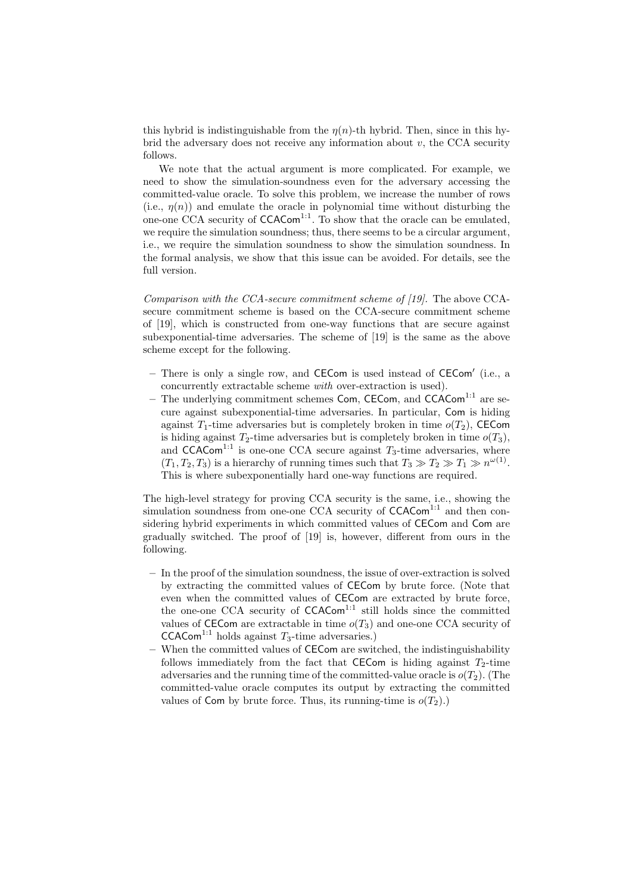this hybrid is indistinguishable from the  $\eta(n)$ -th hybrid. Then, since in this hybrid the adversary does not receive any information about *v*, the CCA security follows.

We note that the actual argument is more complicated. For example, we need to show the simulation-soundness even for the adversary accessing the committed-value oracle. To solve this problem, we increase the number of rows (i.e.,  $\eta(n)$ ) and emulate the oracle in polynomial time without disturbing the one-one  $\text{CCA}$  security of  $\text{CCACom}^{1:1}$ . To show that the oracle can be emulated, we require the simulation soundness; thus, there seems to be a circular argument, i.e., we require the simulation soundness to show the simulation soundness. In the formal analysis, we show that this issue can be avoided. For details, see the full version.

*Comparison with the CCA-secure commitment scheme of [19].* The above CCAsecure commitment scheme is based on the CCA-secure commitment scheme of [19], which is constructed from one-way functions that are secure against subexponential-time adversaries. The scheme of [19] is the same as the above scheme except for the following.

- **–** There is only a single row, and CECom is used instead of CECom*<sup>0</sup>* (i.e., a concurrently extractable scheme *with* over-extraction is used).
- The underlying commitment schemes Com, CECom, and CCACom<sup>1:1</sup> are secure against subexponential-time adversaries. In particular, Com is hiding against  $T_1$ -time adversaries but is completely broken in time  $o(T_2)$ , CECom is hiding against  $T_2$ -time adversaries but is completely broken in time  $o(T_3)$ , and  $CCACom<sup>1:1</sup>$  is one-one CCA secure against  $T_3$ -time adversaries, where  $(T_1, T_2, T_3)$  is a hierarchy of running times such that  $T_3 \gg T_2 \gg T_1 \gg n^{\omega(1)}$ . This is where subexponentially hard one-way functions are required.

The high-level strategy for proving CCA security is the same, i.e., showing the simulation soundness from one-one CCA security of CCACom<sup>1:1</sup> and then considering hybrid experiments in which committed values of CECom and Com are gradually switched. The proof of [19] is, however, different from ours in the following.

- **–** In the proof of the simulation soundness, the issue of over-extraction is solved by extracting the committed values of CECom by brute force. (Note that even when the committed values of CECom are extracted by brute force, the one-one CCA security of  $CCACom<sup>1:1</sup>$  still holds since the committed values of CECom are extractable in time  $o(T_3)$  and one-one CCA security of CCACom<sup>1:1</sup> holds against  $T_3$ -time adversaries.)
- **–** When the committed values of CECom are switched, the indistinguishability follows immediately from the fact that CECom is hiding against  $T_2$ -time adversaries and the running time of the committed-value oracle is  $o(T_2)$ . (The committed-value oracle computes its output by extracting the committed values of Com by brute force. Thus, its running-time is  $o(T_2)$ .)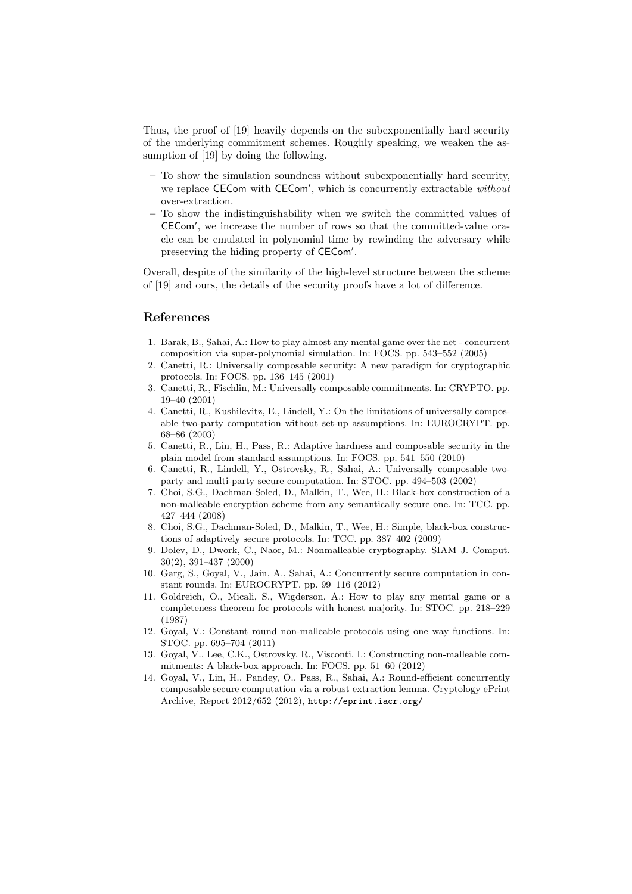Thus, the proof of [19] heavily depends on the subexponentially hard security of the underlying commitment schemes. Roughly speaking, we weaken the assumption of [19] by doing the following.

- **–** To show the simulation soundness without subexponentially hard security, we replace CECom with CECom', which is concurrently extractable *without* over-extraction.
- **–** To show the indistinguishability when we switch the committed values of CECom', we increase the number of rows so that the committed-value oracle can be emulated in polynomial time by rewinding the adversary while preserving the hiding property of CECom'.

Overall, despite of the similarity of the high-level structure between the scheme of [19] and ours, the details of the security proofs have a lot of difference.

### **References**

- 1. Barak, B., Sahai, A.: How to play almost any mental game over the net concurrent composition via super-polynomial simulation. In: FOCS. pp. 543–552 (2005)
- 2. Canetti, R.: Universally composable security: A new paradigm for cryptographic protocols. In: FOCS. pp. 136–145 (2001)
- 3. Canetti, R., Fischlin, M.: Universally composable commitments. In: CRYPTO. pp. 19–40 (2001)
- 4. Canetti, R., Kushilevitz, E., Lindell, Y.: On the limitations of universally composable two-party computation without set-up assumptions. In: EUROCRYPT. pp. 68–86 (2003)
- 5. Canetti, R., Lin, H., Pass, R.: Adaptive hardness and composable security in the plain model from standard assumptions. In: FOCS. pp. 541–550 (2010)
- 6. Canetti, R., Lindell, Y., Ostrovsky, R., Sahai, A.: Universally composable twoparty and multi-party secure computation. In: STOC. pp. 494–503 (2002)
- 7. Choi, S.G., Dachman-Soled, D., Malkin, T., Wee, H.: Black-box construction of a non-malleable encryption scheme from any semantically secure one. In: TCC. pp. 427–444 (2008)
- 8. Choi, S.G., Dachman-Soled, D., Malkin, T., Wee, H.: Simple, black-box constructions of adaptively secure protocols. In: TCC. pp. 387–402 (2009)
- 9. Dolev, D., Dwork, C., Naor, M.: Nonmalleable cryptography. SIAM J. Comput. 30(2), 391–437 (2000)
- 10. Garg, S., Goyal, V., Jain, A., Sahai, A.: Concurrently secure computation in constant rounds. In: EUROCRYPT. pp. 99–116 (2012)
- 11. Goldreich, O., Micali, S., Wigderson, A.: How to play any mental game or a completeness theorem for protocols with honest majority. In: STOC. pp. 218–229 (1987)
- 12. Goyal, V.: Constant round non-malleable protocols using one way functions. In: STOC. pp. 695–704 (2011)
- 13. Goyal, V., Lee, C.K., Ostrovsky, R., Visconti, I.: Constructing non-malleable commitments: A black-box approach. In: FOCS. pp. 51–60 (2012)
- 14. Goyal, V., Lin, H., Pandey, O., Pass, R., Sahai, A.: Round-efficient concurrently composable secure computation via a robust extraction lemma. Cryptology ePrint Archive, Report 2012/652 (2012), http://eprint.iacr.org/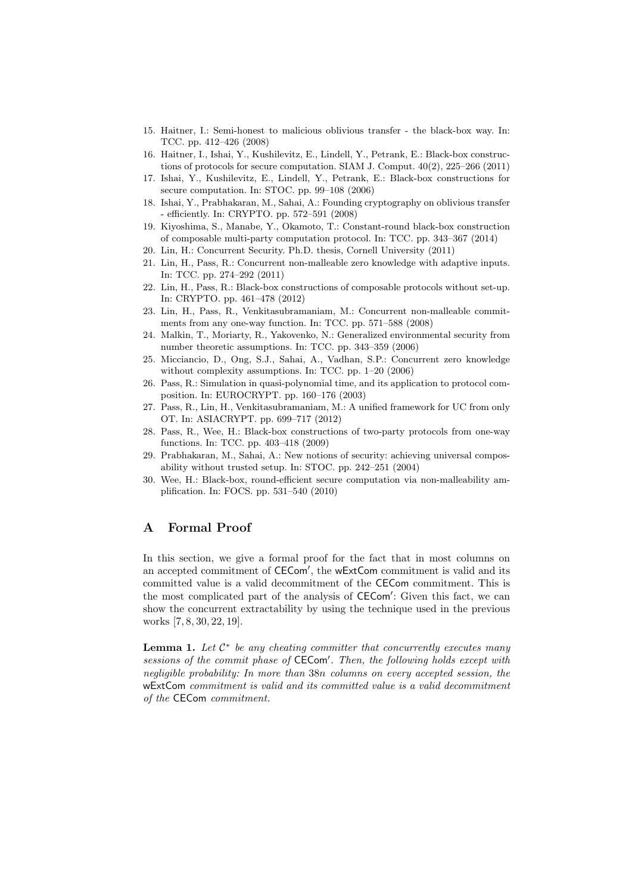- 15. Haitner, I.: Semi-honest to malicious oblivious transfer the black-box way. In: TCC. pp. 412–426 (2008)
- 16. Haitner, I., Ishai, Y., Kushilevitz, E., Lindell, Y., Petrank, E.: Black-box constructions of protocols for secure computation. SIAM J. Comput. 40(2), 225–266 (2011)
- 17. Ishai, Y., Kushilevitz, E., Lindell, Y., Petrank, E.: Black-box constructions for secure computation. In: STOC. pp. 99–108 (2006)
- 18. Ishai, Y., Prabhakaran, M., Sahai, A.: Founding cryptography on oblivious transfer - efficiently. In: CRYPTO. pp. 572–591 (2008)
- 19. Kiyoshima, S., Manabe, Y., Okamoto, T.: Constant-round black-box construction of composable multi-party computation protocol. In: TCC. pp. 343–367 (2014)
- 20. Lin, H.: Concurrent Security. Ph.D. thesis, Cornell University (2011)
- 21. Lin, H., Pass, R.: Concurrent non-malleable zero knowledge with adaptive inputs. In: TCC. pp. 274–292 (2011)
- 22. Lin, H., Pass, R.: Black-box constructions of composable protocols without set-up. In: CRYPTO. pp. 461–478 (2012)
- 23. Lin, H., Pass, R., Venkitasubramaniam, M.: Concurrent non-malleable commitments from any one-way function. In: TCC. pp. 571–588 (2008)
- 24. Malkin, T., Moriarty, R., Yakovenko, N.: Generalized environmental security from number theoretic assumptions. In: TCC. pp. 343–359 (2006)
- 25. Micciancio, D., Ong, S.J., Sahai, A., Vadhan, S.P.: Concurrent zero knowledge without complexity assumptions. In: TCC. pp. 1–20 (2006)
- 26. Pass, R.: Simulation in quasi-polynomial time, and its application to protocol composition. In: EUROCRYPT. pp. 160–176 (2003)
- 27. Pass, R., Lin, H., Venkitasubramaniam, M.: A unified framework for UC from only OT. In: ASIACRYPT. pp. 699–717 (2012)
- 28. Pass, R., Wee, H.: Black-box constructions of two-party protocols from one-way functions. In: TCC. pp. 403–418 (2009)
- 29. Prabhakaran, M., Sahai, A.: New notions of security: achieving universal composability without trusted setup. In: STOC. pp. 242–251 (2004)
- 30. Wee, H.: Black-box, round-efficient secure computation via non-malleability amplification. In: FOCS. pp. 531–540 (2010)

## **A Formal Proof**

In this section, we give a formal proof for the fact that in most columns on an accepted commitment of CECom', the wExtCom commitment is valid and its committed value is a valid decommitment of the CECom commitment. This is the most complicated part of the analysis of **CECom'**: Given this fact, we can show the concurrent extractability by using the technique used in the previous works [7, 8, 30, 22, 19].

**Lemma 1.** *Let C ∗ be any cheating committer that concurrently executes many sessions of the commit phase of* CECom*<sup>0</sup> . Then, the following holds except with negligible probability: In more than* 38*n columns on every accepted session, the* wExtCom *commitment is valid and its committed value is a valid decommitment of the* CECom *commitment.*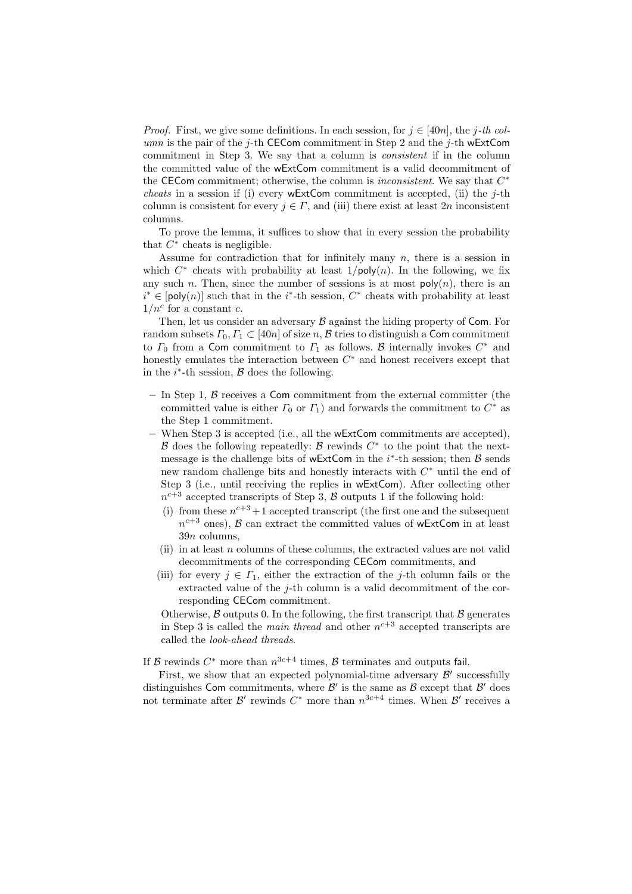*Proof.* First, we give some definitions. In each session, for  $j \in [40n]$ , the *j*-th col*umn* is the pair of the *j*-th CECom commitment in Step 2 and the *j*-th wExtCom commitment in Step 3. We say that a column is *consistent* if in the column the committed value of the wExtCom commitment is a valid decommitment of the CECom commitment; otherwise, the column is *inconsistent*. We say that *C ∗ cheats* in a session if (i) every wExtCom commitment is accepted, (ii) the  $j$ -th column is consistent for every  $j \in \Gamma$ , and (iii) there exist at least 2*n* inconsistent columns.

To prove the lemma, it suffices to show that in every session the probability that  $C^*$  cheats is negligible.

Assume for contradiction that for infinitely many *n*, there is a session in which  $C^*$  cheats with probability at least  $1/\text{poly}(n)$ . In the following, we fix any such *n*. Then, since the number of sessions is at most  $\text{poly}(n)$ , there is an  $i^*$   $\in$  [poly(*n*)] such that in the *i*<sup>\*</sup>-th session,  $C^*$  cheats with probability at least  $1/n^c$  for a constant *c*.

Then, let us consider an adversary *B* against the hiding property of Com. For random subsets  $\Gamma_0, \Gamma_1 \subset [40n]$  of size *n*, *B* tries to distinguish a Com commitment to  $\Gamma_0$  from a Com commitment to  $\Gamma_1$  as follows. *B* internally invokes  $C^*$  and honestly emulates the interaction between *C <sup>∗</sup>* and honest receivers except that in the  $i^*$ -th session,  $\beta$  does the following.

- **–** In Step 1, *B* receives a Com commitment from the external committer (the committed value is either  $\Gamma_0$  or  $\Gamma_1$ ) and forwards the commitment to  $C^*$  as the Step 1 commitment.
- **–** When Step 3 is accepted (i.e., all the wExtCom commitments are accepted), *B* does the following repeatedly: *B* rewinds *C ∗* to the point that the nextmessage is the challenge bits of wExtCom in the *i ∗* -th session; then *B* sends new random challenge bits and honestly interacts with *C <sup>∗</sup>* until the end of Step 3 (i.e., until receiving the replies in wExtCom). After collecting other  $n^{c+3}$  accepted transcripts of Step 3, *B* outputs 1 if the following hold:
	- (i) from these  $n^{c+3}+1$  accepted transcript (the first one and the subsequent  $n^{c+3}$  ones), *B* can extract the committed values of wExtCom in at least 39*n* columns,
	- (ii) in at least *n* columns of these columns, the extracted values are not valid decommitments of the corresponding CECom commitments, and
	- (iii) for every  $j \in \Gamma_1$ , either the extraction of the *j*-th column fails or the extracted value of the *j*-th column is a valid decommitment of the corresponding CECom commitment.

Otherwise,  $\beta$  outputs 0. In the following, the first transcript that  $\beta$  generates in Step 3 is called the *main thread* and other  $n^{c+3}$  accepted transcripts are called the *look-ahead threads*.

If *B* rewinds  $C^*$  more than  $n^{3c+4}$  times, *B* terminates and outputs fail.

First, we show that an expected polynomial-time adversary  $\mathcal{B}'$  successfully distinguishes Com commitments, where  $\mathcal{B}'$  is the same as  $\mathcal{B}$  except that  $\mathcal{B}'$  does not terminate after  $\mathcal{B}'$  rewinds  $C^*$  more than  $n^{3c+4}$  times. When  $\mathcal{B}'$  receives a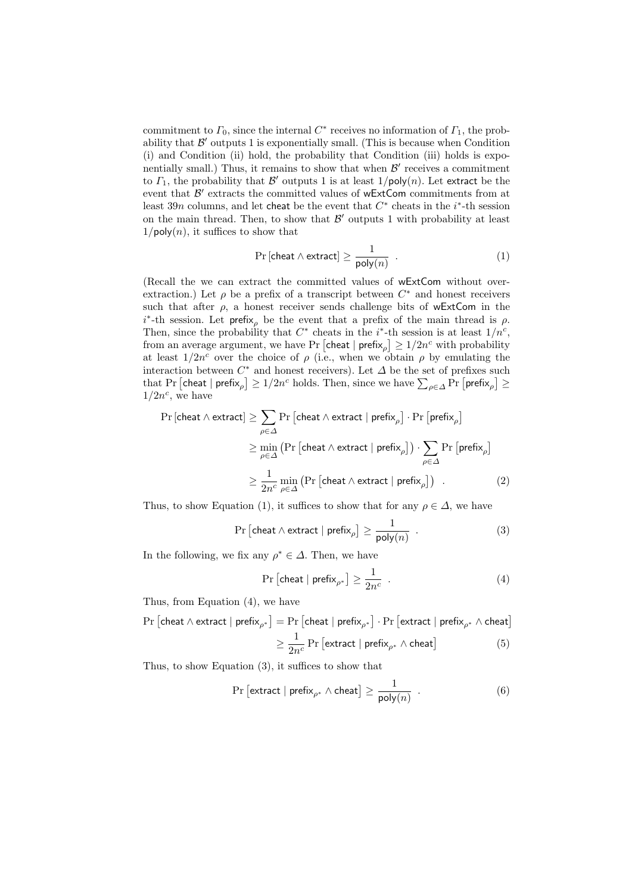commitment to  $\Gamma_0$ , since the internal  $C^*$  receives no information of  $\Gamma_1$ , the probability that  $\mathcal{B}'$  outputs 1 is exponentially small. (This is because when Condition (i) and Condition (ii) hold, the probability that Condition (iii) holds is exponentially small.) Thus, it remains to show that when  $\mathcal{B}'$  receives a commitment to  $\Gamma_1$ , the probability that  $\mathcal{B}'$  outputs 1 is at least  $1/\mathsf{poly}(n)$ . Let extract be the event that  $\mathcal{B}'$  extracts the committed values of  $wExtCom$  commitments from at least 39*n* columns, and let cheat be the event that *C ∗* cheats in the *i ∗* -th session on the main thread. Then, to show that  $\mathcal{B}'$  outputs 1 with probability at least  $1/\text{poly}(n)$ , it suffices to show that

$$
\Pr\left[\text{cheat} \land \text{extract}\right] \ge \frac{1}{\text{poly}(n)} \tag{1}
$$

(Recall the we can extract the committed values of wExtCom without overextraction.) Let  $\rho$  be a prefix of a transcript between  $C^*$  and honest receivers such that after  $\rho$ , a honest receiver sends challenge bits of wExtCom in the *i ∗* -th session. Let prefix*<sup>ρ</sup>* be the event that a prefix of the main thread is *ρ*. Then, since the probability that  $C^*$  cheats in the *i*<sup>\*</sup>-th session is at least  $1/n^c$ , from an average argument, we have Pr  $\left[$  cheat  $|$  prefix $_{\rho} \right] \geq 1/2n^c$  with probability at least  $1/2n^c$  over the choice of  $\rho$  (i.e., when we obtain  $\rho$  by emulating the interaction between  $C^*$  and honest receivers). Let  $\Delta$  be the set of prefixes such that Pr  $[\text{cheat } | \text{ prefix}_{\rho}] \geq 1/2n^c \text{ holds.}$  Then, since we have  $\sum_{\rho \in \Delta} \Pr[\text{prefix}_{\rho}] \geq 1/2n^c \text{ holds.}$  $1/2n^c$ , we have

$$
\Pr\left[\text{cheat} \land \text{extract}\right] \ge \sum_{\rho \in \Delta} \Pr\left[\text{cheat} \land \text{extract} \mid \text{prefix}_{\rho}\right] \cdot \Pr\left[\text{prefix}_{\rho}\right] \\
\ge \min_{\rho \in \Delta} \left(\Pr\left[\text{cheat} \land \text{extract} \mid \text{prefix}_{\rho}\right]\right) \cdot \sum_{\rho \in \Delta} \Pr\left[\text{prefix}_{\rho}\right] \\
\ge \frac{1}{2n^c} \min_{\rho \in \Delta} \left(\Pr\left[\text{cheat} \land \text{extract} \mid \text{prefix}_{\rho}\right]\right) .\n\tag{2}
$$

Thus, to show Equation (1), it suffices to show that for any  $\rho \in \Delta$ , we have

$$
\Pr\left[\text{cheat} \wedge \text{extract} \mid \text{prefix}_{\rho}\right] \ge \frac{1}{\text{poly}(n)}\enspace . \tag{3}
$$

In the following, we fix any  $\rho^* \in \Delta$ . Then, we have

$$
\Pr\left[\text{cheat} \mid \text{prefix}_{\rho^*}\right] \ge \frac{1}{2n^c} \tag{4}
$$

Thus, from Equation  $(4)$ , we have

$$
\begin{aligned} \Pr\left[\text{cheat}\wedge\text{extract}\mid\text{prefix}_{\rho^*}\right] &=\Pr\left[\text{cheat}\mid\text{prefix}_{\rho^*}\right]\cdot\Pr\left[\text{extract}\mid\text{prefix}_{\rho^*}\wedge\text{cheat}\right] \\ &\geq\frac{1}{2n^c}\Pr\left[\text{extract}\mid\text{prefix}_{\rho^*}\wedge\text{cheat}\right] \end{aligned} \tag{5}
$$

Thus, to show Equation (3), it suffices to show that

$$
\Pr\left[\text{extract} \mid \text{prefix}_{\rho^*} \land \text{cheat}\right] \ge \frac{1}{\text{poly}(n)} \quad . \tag{6}
$$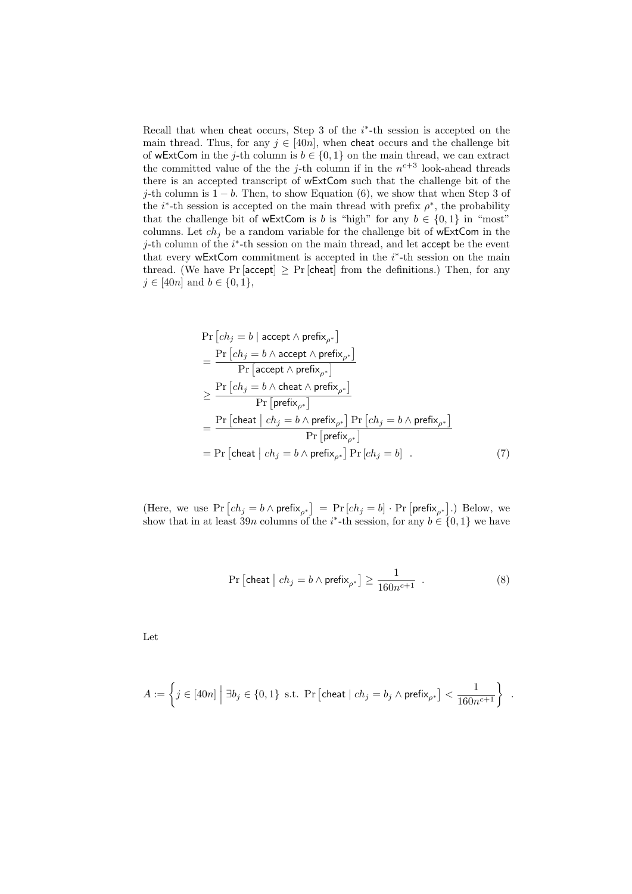Recall that when cheat occurs, Step 3 of the *i ∗* -th session is accepted on the main thread. Thus, for any  $j \in [40n]$ , when cheat occurs and the challenge bit of wExtCom in the *j*-th column is  $b \in \{0, 1\}$  on the main thread, we can extract the committed value of the the *j*-th column if in the  $n^{c+3}$  look-ahead threads there is an accepted transcript of wExtCom such that the challenge bit of the *j*-th column is 1 − *b*. Then, to show Equation (6), we show that when Step 3 of the *i*<sup>\*</sup>-th session is accepted on the main thread with prefix  $\rho^*$ , the probability that the challenge bit of wExtCom is *b* is "high" for any  $b \in \{0, 1\}$  in "most" columns. Let  $ch_i$  be a random variable for the challenge bit of wExtCom in the *j*-th column of the *i*<sup>\*</sup>-th session on the main thread, and let accept be the event that every wExtCom commitment is accepted in the *i ∗* -th session on the main thread. (We have  $Pr$  [accept]  $\geq Pr$  [cheat] from the definitions.) Then, for any *j* ∈ [40*n*] and *b* ∈ {0, 1},

$$
\Pr\left[ch_j = b \mid \text{accept} \land \text{prefix}_{\rho^*}\right] \\
= \frac{\Pr\left[ch_j = b \land \text{accept} \land \text{prefix}_{\rho^*}\right]}{\Pr\left[\text{accept} \land \text{prefix}_{\rho^*}\right]} \\
\geq \frac{\Pr\left[ch_j = b \land \text{cheat} \land \text{prefix}_{\rho^*}\right]}{\Pr\left[\text{prefix}_{\rho^*}\right]} \\
= \frac{\Pr\left[\text{cheat} \mid ch_j = b \land \text{prefix}_{\rho^*}\right] \Pr\left[ch_j = b \land \text{prefix}_{\rho^*}\right]}{\Pr\left[\text{prefix}_{\rho^*}\right]} \\
= \Pr\left[\text{cheat} \mid ch_j = b \land \text{prefix}_{\rho^*}\right] \Pr\left[ch_j = b\right] \quad . \tag{7}
$$

 $(\text{Here, we use } \Pr\left[ch_j = b \land \text{prefix}_{\rho^*}\right] = \Pr\left[ch_j = b\right] \cdot \Pr\left[\text{prefix}_{\rho^*}\right]$ .) Below, we show that in at least 39*n* columns of the *i*<sup>\*</sup>-th session, for any  $b \in \{0, 1\}$  we have

$$
\Pr\left[\text{cheat} \mid ch_j = b \land \text{prefix}_{\rho^*}\right] \ge \frac{1}{160n^{c+1}} \enspace . \tag{8}
$$

Let

$$
A:=\left\{j\in [40n] \; \Big| \; \exists b_j\in \{0,1\} \; \text{ s.t. } \Pr\left[\text{cheat} \; | \; ch_j=b_j \land \text{prefix}_{\rho^*}\right] < \frac{1}{160n^{c+1}}\right\} \enspace.
$$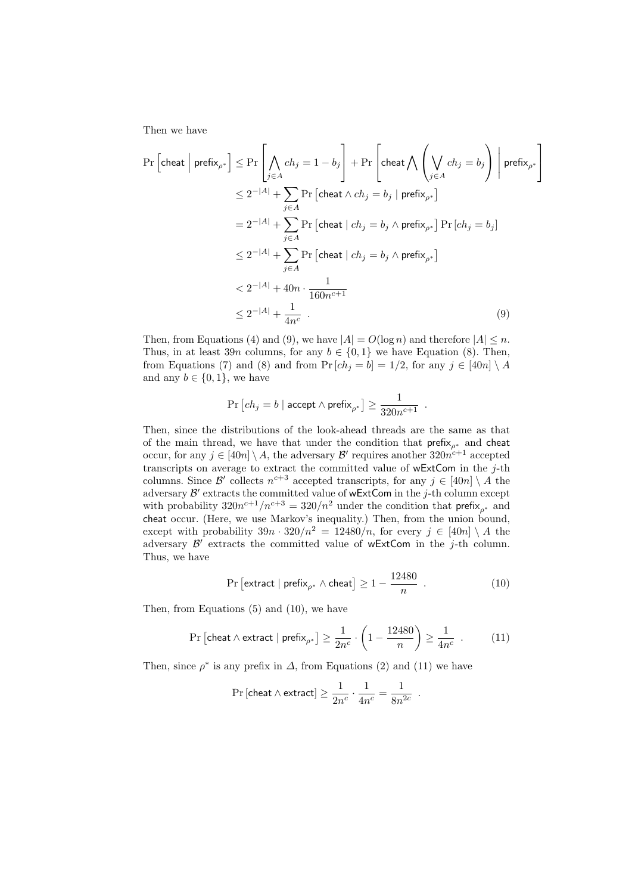Then we have

$$
\Pr\left[\text{cheat} \mid \text{prefix}_{\rho^*}\right] \leq \Pr\left[\bigwedge_{j \in A} ch_j = 1 - b_j\right] + \Pr\left[\text{cheat} \bigwedge \left(\bigvee_{j \in A} ch_j = b_j\right) \mid \text{prefix}_{\rho^*}\right]
$$
\n
$$
\leq 2^{-|A|} + \sum_{j \in A} \Pr\left[\text{cheat} \wedge ch_j = b_j \mid \text{prefix}_{\rho^*}\right]
$$
\n
$$
= 2^{-|A|} + \sum_{j \in A} \Pr\left[\text{cheat} \mid ch_j = b_j \wedge \text{prefix}_{\rho^*}\right] \Pr\left[ch_j = b_j\right]
$$
\n
$$
\leq 2^{-|A|} + \sum_{j \in A} \Pr\left[\text{cheat} \mid ch_j = b_j \wedge \text{prefix}_{\rho^*}\right]
$$
\n
$$
< 2^{-|A|} + 40n \cdot \frac{1}{160n^{c+1}}
$$
\n
$$
\leq 2^{-|A|} + \frac{1}{4n^c} \tag{9}
$$

Then, from Equations (4) and (9), we have  $|A| = O(\log n)$  and therefore  $|A| \leq n$ . Thus, in at least 39*n* columns, for any  $b \in \{0, 1\}$  we have Equation (8). Then, from Equations (7) and (8) and from  $\Pr[ch_j = b] = 1/2$ , for any  $j \in [40n] \setminus A$ and any  $b \in \{0, 1\}$ , we have

$$
\Pr\left[ch_j=b \mid \textsf{accept} \land \textsf{prefix}_{\rho^*}\right] \geq \frac{1}{320n^{c+1}}\enspace.
$$

Then, since the distributions of the look-ahead threads are the same as that of the main thread, we have that under the condition that prefix*<sup>ρ</sup><sup>∗</sup>* and cheat occur, for any  $j \in [40n] \setminus A$ , the adversary  $\mathcal{B}'$  requires another  $320n^{c+1}$  accepted transcripts on average to extract the committed value of wExtCom in the *j*-th columns. Since  $\mathcal{B}'$  collects  $n^{c+3}$  accepted transcripts, for any  $j \in [40n] \setminus A$  the adversary  $\mathcal{B}'$  extracts the committed value of wExtCom in the *j*-th column except with probability  $320n^{c+1}/n^{c+3} = 320/n^2$  under the condition that prefix<sub>p<sup>\*</sup></sub> and cheat occur. (Here, we use Markov's inequality.) Then, from the union bound, except with probability  $39n \cdot 320/n^2 = 12480/n$ , for every  $j \in [40n] \setminus A$  the adversary  $\mathcal{B}'$  extracts the committed value of wExtCom in the *j*-th column. Thus, we have

$$
\Pr\left[\text{extract} \mid \text{prefix}_{\rho^*} \land \text{cheat}\right] \ge 1 - \frac{12480}{n} \quad . \tag{10}
$$

Then, from Equations (5) and (10), we have

$$
\Pr\left[\text{cheat} \land \text{extract} \mid \text{prefix}_{\rho^*}\right] \ge \frac{1}{2n^c} \cdot \left(1 - \frac{12480}{n}\right) \ge \frac{1}{4n^c} \quad . \tag{11}
$$

Then, since  $\rho^*$  is any prefix in  $\Delta$ , from Equations (2) and (11) we have

$$
\Pr\left[ \text{cheat} \wedge \text{extract} \right] \geq \frac{1}{2n^c} \cdot \frac{1}{4n^c} = \frac{1}{8n^{2c}} \enspace .
$$